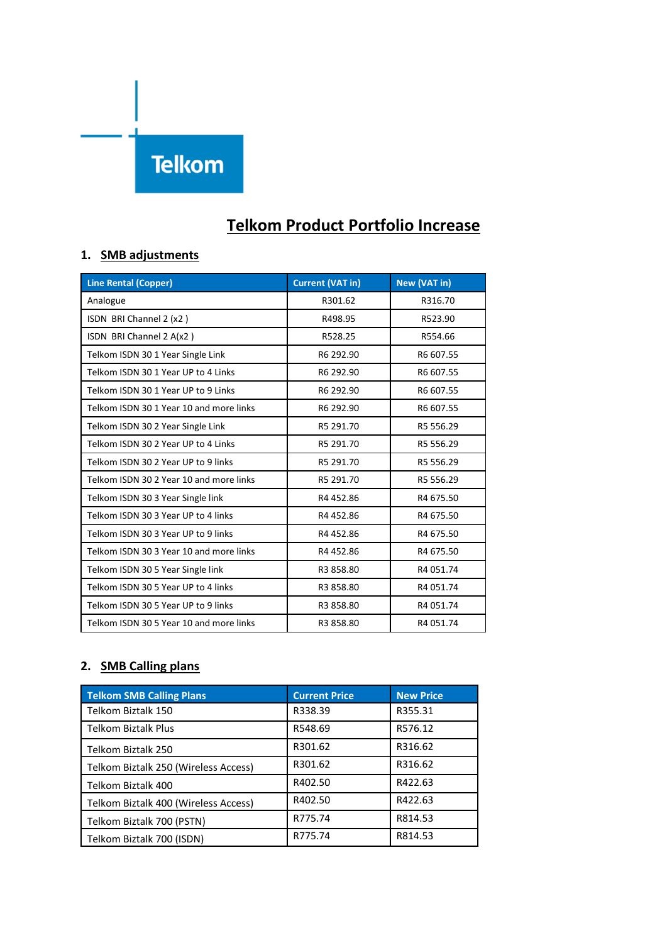# **Telkom**

# **Telkom Product Portfolio Increase**

# **1. SMB adjustments**

| <b>Line Rental (Copper)</b>             | <b>Current (VAT in)</b> | New (VAT in) |
|-----------------------------------------|-------------------------|--------------|
| Analogue                                | R301.62                 | R316.70      |
| ISDN BRI Channel 2 (x2)                 | R498.95                 | R523.90      |
| ISDN BRI Channel 2 A(x2)                | R528.25                 | R554.66      |
| Telkom ISDN 30 1 Year Single Link       | R6 292.90               | R6 607.55    |
| Telkom ISDN 30 1 Year UP to 4 Links     | R6 292.90               | R6 607.55    |
| Telkom ISDN 30 1 Year UP to 9 Links     | R6 292.90               | R6 607.55    |
| Telkom ISDN 30 1 Year 10 and more links | R6 292.90               | R6 607.55    |
| Telkom ISDN 30 2 Year Single Link       | R5 291.70               | R5 556.29    |
| Telkom ISDN 30 2 Year UP to 4 Links     | R5 291.70               | R5 556.29    |
| Telkom ISDN 30 2 Year UP to 9 links     | R5 291.70               | R5 556.29    |
| Telkom ISDN 30 2 Year 10 and more links | R5 291.70               | R5 556.29    |
| Telkom ISDN 30 3 Year Single link       | R4 452.86               | R4 675.50    |
| Telkom ISDN 30 3 Year UP to 4 links     | R4 452.86               | R4 675.50    |
| Telkom ISDN 30 3 Year UP to 9 links     | R4 452.86               | R4 675.50    |
| Telkom ISDN 30 3 Year 10 and more links | R4 452.86               | R4 675.50    |
| Telkom ISDN 30 5 Year Single link       | R3 858.80               | R4 051.74    |
| Telkom ISDN 30 5 Year UP to 4 links     | R3 858.80               | R4 051.74    |
| Telkom ISDN 30 5 Year UP to 9 links     | R3 858.80               | R4 051.74    |
| Telkom ISDN 30 5 Year 10 and more links | R3 858.80               | R4 051.74    |

#### **2. SMB Calling plans**

| <b>Telkom SMB Calling Plans</b>      | <b>Current Price</b> | <b>New Price</b> |
|--------------------------------------|----------------------|------------------|
| Telkom Biztalk 150                   | R338.39              | R355.31          |
| <b>Telkom Biztalk Plus</b>           | R548.69              | R576.12          |
| Telkom Biztalk 250                   | R301.62              | R316.62          |
| Telkom Biztalk 250 (Wireless Access) | R301.62              | R316.62          |
| Telkom Biztalk 400                   | R402.50              | R422.63          |
| Telkom Biztalk 400 (Wireless Access) | R402.50              | R422.63          |
| Telkom Biztalk 700 (PSTN)            | R775.74              | R814.53          |
| Telkom Biztalk 700 (ISDN)            | R775.74              | R814.53          |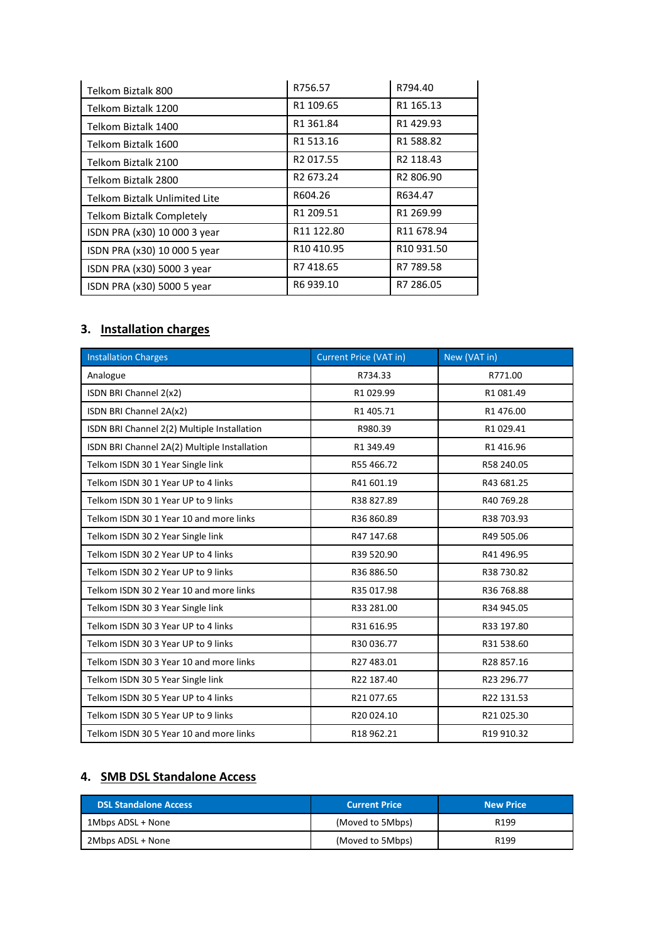| Telkom Biztalk 800               | R756.57                            | R794.40                |
|----------------------------------|------------------------------------|------------------------|
| Telkom Biztalk 1200              | R1 109.65                          | R1 165.13              |
| Telkom Biztalk 1400              | R1 361.84                          | R1429.93               |
| Telkom Biztalk 1600              | R <sub>1</sub> 513.16              | R1588.82               |
| Telkom Biztalk 2100              | R <sub>2</sub> 017.55              | R <sub>2</sub> 118.43  |
| Telkom Biztalk 2800              | R <sub>2</sub> 673.24              | R2 806.90              |
| Telkom Biztalk Unlimited Lite    | R604.26                            | R634.47                |
| <b>Telkom Biztalk Completely</b> | R1 209.51                          | R1 269.99              |
| ISDN PRA (x30) 10 000 3 year     | R11 122.80                         | R <sub>11</sub> 678.94 |
| ISDN PRA (x30) 10 000 5 year     | R <sub>10</sub> 4 <sub>10.95</sub> | R <sub>10</sub> 931.50 |
| ISDN PRA (x30) 5000 3 year       | R7418.65                           | R7 789.58              |
| ISDN PRA (x30) 5000 5 year       | R6 939.10                          | R7 286.05              |

# **3. Installation charges**

| <b>Installation Charges</b>                  | <b>Current Price (VAT in)</b> | New (VAT in) |
|----------------------------------------------|-------------------------------|--------------|
| Analogue                                     | R734.33                       | R771.00      |
| ISDN BRI Channel 2(x2)                       | R1 029.99                     | R1 081.49    |
| ISDN BRI Channel 2A(x2)                      | R1 405.71                     | R1 476.00    |
| ISDN BRI Channel 2(2) Multiple Installation  | R980.39                       | R1 029.41    |
| ISDN BRI Channel 2A(2) Multiple Installation | R1 349.49                     | R1 416.96    |
| Telkom ISDN 30 1 Year Single link            | R55 466.72                    | R58 240.05   |
| Telkom ISDN 30 1 Year UP to 4 links          | R41 601.19                    | R43 681.25   |
| Telkom ISDN 30 1 Year UP to 9 links          | R38 827.89                    | R40 769.28   |
| Telkom ISDN 30 1 Year 10 and more links      | R36 860.89                    | R38 703.93   |
| Telkom ISDN 30 2 Year Single link            | R47 147.68                    | R49 505.06   |
| Telkom ISDN 30 2 Year UP to 4 links          | R39 520.90                    | R41 496.95   |
| Telkom ISDN 30 2 Year UP to 9 links          | R36 886.50                    | R38 730.82   |
| Telkom ISDN 30 2 Year 10 and more links      | R35 017.98                    | R36 768.88   |
| Telkom ISDN 30 3 Year Single link            | R33 281.00                    | R34 945.05   |
| Telkom ISDN 30 3 Year UP to 4 links          | R31 616.95                    | R33 197.80   |
| Telkom ISDN 30 3 Year UP to 9 links          | R30 036.77                    | R31 538.60   |
| Telkom ISDN 30 3 Year 10 and more links      | R27483.01                     | R28 857.16   |
| Telkom ISDN 30 5 Year Single link            | R22 187.40                    | R23 296.77   |
| Telkom ISDN 30 5 Year UP to 4 links          | R21077.65                     | R22 131.53   |
| Telkom ISDN 30 5 Year UP to 9 links          | R20024.10                     | R21025.30    |
| Telkom ISDN 30 5 Year 10 and more links      | R18 962.21                    | R19 910.32   |

#### **4. SMB DSL Standalone Access**

| <b>DSL Standalone Access</b> | <b>Current Price</b> | <b>New Price</b> |
|------------------------------|----------------------|------------------|
| 1Mbps ADSL + None            | (Moved to 5Mbps)     | R <sub>199</sub> |
| 2Mbps ADSL + None            | (Moved to 5Mbps)     | R <sub>199</sub> |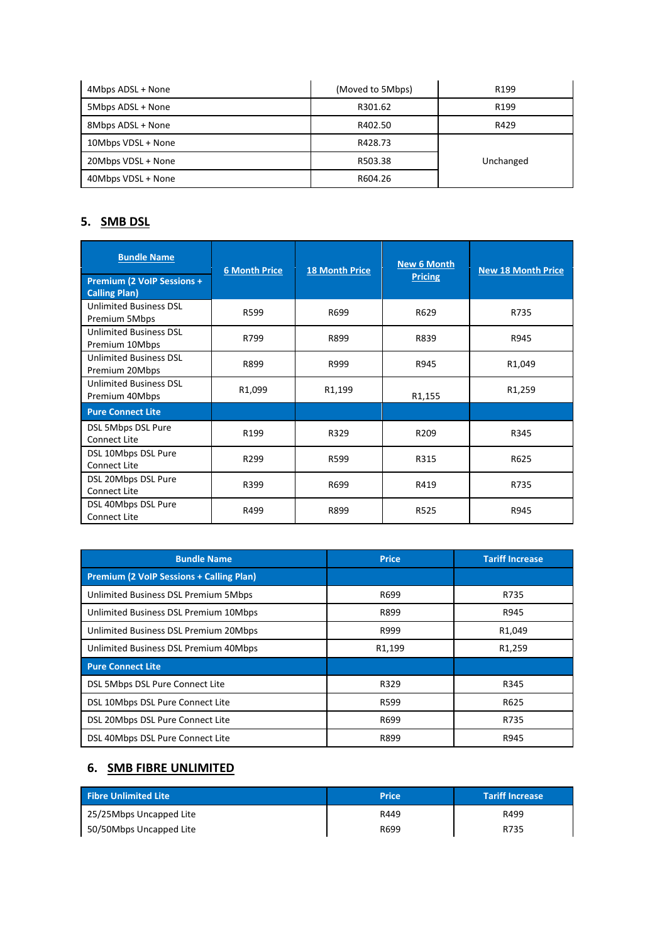| 4Mbps ADSL + None  | (Moved to 5Mbps) | R <sub>199</sub> |
|--------------------|------------------|------------------|
| 5Mbps ADSL + None  | R301.62          | R <sub>199</sub> |
| 8Mbps ADSL + None  | R402.50          | R429             |
| 10Mbps VDSL + None | R428.73          |                  |
| 20Mbps VDSL + None | R503.38          | Unchanged        |
| 40Mbps VDSL + None | R604.26          |                  |

# **5. SMB DSL**

| <b>Bundle Name</b><br><b>Premium (2 VoIP Sessions +</b> | <b>6 Month Price</b> | <b>18 Month Price</b> | <b>New 6 Month</b><br><b>Pricing</b> | <b>New 18 Month Price</b> |
|---------------------------------------------------------|----------------------|-----------------------|--------------------------------------|---------------------------|
| <b>Calling Plan)</b>                                    |                      |                       |                                      |                           |
| <b>Unlimited Business DSL</b><br>Premium 5Mbps          | R599                 | R699                  | R629                                 | R735                      |
| <b>Unlimited Business DSL</b><br>Premium 10Mbps         | R799                 | R899                  | R839                                 | R945                      |
| <b>Unlimited Business DSL</b><br>Premium 20Mbps         | R899                 | R999                  | R945                                 | R <sub>1</sub> ,049       |
| <b>Unlimited Business DSL</b><br>Premium 40Mbps         | R1,099               | R <sub>1</sub> ,199   | R1,155                               | R <sub>1</sub> ,259       |
| <b>Pure Connect Lite</b>                                |                      |                       |                                      |                           |
| DSL 5Mbps DSL Pure<br>Connect Lite                      | R199                 | R329                  | R209                                 | R345                      |
| DSL 10Mbps DSL Pure<br><b>Connect Lite</b>              | R299                 | R599                  | R315                                 | R625                      |
| DSL 20Mbps DSL Pure<br><b>Connect Lite</b>              | R399                 | R699                  | R419                                 | R735                      |
| DSL 40Mbps DSL Pure<br><b>Connect Lite</b>              | R499                 | R899                  | R525                                 | R945                      |

| <b>Bundle Name</b>                              | <b>Price</b> | <b>Tariff Increase</b> |
|-------------------------------------------------|--------------|------------------------|
| <b>Premium (2 VoIP Sessions + Calling Plan)</b> |              |                        |
| Unlimited Business DSL Premium 5Mbps            | R699         | R735                   |
| Unlimited Business DSL Premium 10Mbps           | R899         | R945                   |
| Unlimited Business DSL Premium 20Mbps           | R999         | R <sub>1</sub> ,049    |
| Unlimited Business DSL Premium 40Mbps           | R1,199       | R <sub>1</sub> ,259    |
| <b>Pure Connect Lite</b>                        |              |                        |
| DSL 5Mbps DSL Pure Connect Lite                 | R329         | R345                   |
| DSL 10Mbps DSL Pure Connect Lite                | R599         | R625                   |
| DSL 20Mbps DSL Pure Connect Lite                | R699         | R735                   |
| DSL 40Mbps DSL Pure Connect Lite                | R899         | R945                   |

#### **6. SMB FIBRE UNLIMITED**

| <b>Fibre Unlimited Lite</b> | <b>Price</b> | <b>Tariff Increase</b> |
|-----------------------------|--------------|------------------------|
| 25/25Mbps Uncapped Lite     | R449         | R499                   |
| 50/50Mbps Uncapped Lite     | R699         | R735                   |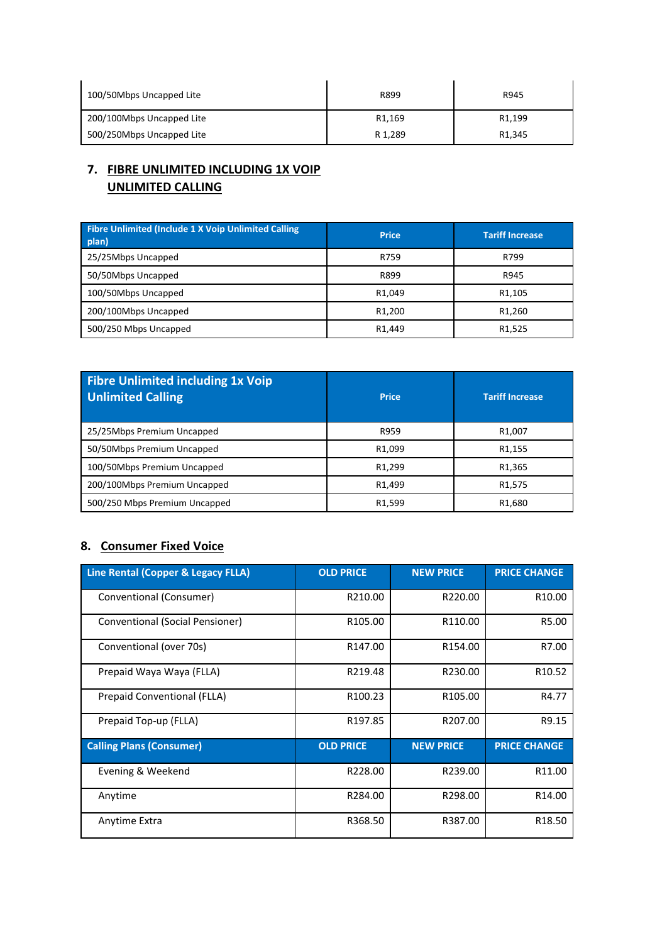| 100/50Mbps Uncapped Lite  | R899               | R945                |
|---------------------------|--------------------|---------------------|
| 200/100Mbps Uncapped Lite | R <sub>1.169</sub> | R <sub>1</sub> ,199 |
| 500/250Mbps Uncapped Lite | R 1.289            | R <sub>1.345</sub>  |

# **7. FIBRE UNLIMITED INCLUDING 1X VOIP UNLIMITED CALLING**

| Fibre Unlimited (Include 1 X Voip Unlimited Calling<br>plan) | <b>Price</b>        | <b>Tariff Increase</b> |
|--------------------------------------------------------------|---------------------|------------------------|
| 25/25Mbps Uncapped                                           | R759                | R799                   |
| 50/50Mbps Uncapped                                           | R899                | R945                   |
| 100/50Mbps Uncapped                                          | R <sub>1</sub> ,049 | R <sub>1</sub> ,105    |
| 200/100Mbps Uncapped                                         | R <sub>1</sub> ,200 | R <sub>1</sub> ,260    |
| 500/250 Mbps Uncapped                                        | R <sub>1</sub> ,449 | R <sub>1</sub> ,525    |

| <b>Fibre Unlimited including 1x Voip</b><br><b>Unlimited Calling</b> | <b>Price</b>        | <b>Tariff Increase</b> |
|----------------------------------------------------------------------|---------------------|------------------------|
| 25/25Mbps Premium Uncapped                                           | R959                | R <sub>1</sub> ,007    |
| 50/50Mbps Premium Uncapped                                           | R <sub>1</sub> ,099 | R <sub>1</sub> ,155    |
| 100/50Mbps Premium Uncapped                                          | R <sub>1</sub> ,299 | R <sub>1</sub> ,365    |
| 200/100Mbps Premium Uncapped                                         | R <sub>1</sub> ,499 | R <sub>1</sub> ,575    |
| 500/250 Mbps Premium Uncapped                                        | R <sub>1</sub> ,599 | R <sub>1</sub> ,680    |

#### **8. Consumer Fixed Voice**

| Line Rental (Copper & Legacy FLLA) | <b>OLD PRICE</b>    | <b>NEW PRICE</b>    | <b>PRICE CHANGE</b> |
|------------------------------------|---------------------|---------------------|---------------------|
| Conventional (Consumer)            | R210.00             | R220.00             | R <sub>10.00</sub>  |
| Conventional (Social Pensioner)    | R105.00             | R110.00             | R5.00               |
| Conventional (over 70s)            | R147.00             | R154.00             | R7.00               |
| Prepaid Waya Waya (FLLA)           | R219.48             | R230.00             | R <sub>10.52</sub>  |
| Prepaid Conventional (FLLA)        | R <sub>100.23</sub> | R <sub>105.00</sub> | R4.77               |
| Prepaid Top-up (FLLA)              | R197.85             | R207.00             | R9.15               |
| <b>Calling Plans (Consumer)</b>    | <b>OLD PRICE</b>    | <b>NEW PRICE</b>    | <b>PRICE CHANGE</b> |
| Evening & Weekend                  | R228.00             | R239.00             | R11.00              |
| Anytime                            | R284.00             | R298.00             | R14.00              |
| Anytime Extra                      | R368.50             | R387.00             | R <sub>18.50</sub>  |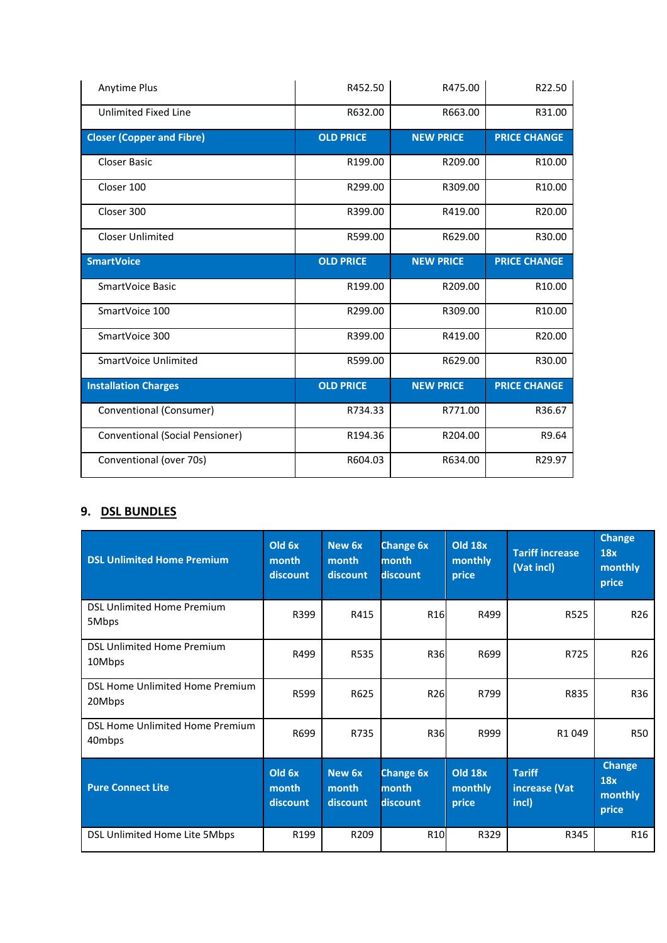| <b>Anytime Plus</b>              | R452.50          | R475.00          | R22.50              |
|----------------------------------|------------------|------------------|---------------------|
| Unlimited Fixed Line             | R632.00          | R663.00          | R31.00              |
| <b>Closer (Copper and Fibre)</b> | <b>OLD PRICE</b> | <b>NEW PRICE</b> | <b>PRICE CHANGE</b> |
| <b>Closer Basic</b>              | R199.00          | R209.00          | R <sub>10.00</sub>  |
| Closer 100                       | R299.00          | R309.00          | R <sub>10.00</sub>  |
| Closer 300                       | R399.00          | R419.00          | R20.00              |
| <b>Closer Unlimited</b>          | R599.00          | R629.00          | R30.00              |
| <b>SmartVoice</b>                | <b>OLD PRICE</b> | <b>NEW PRICE</b> | <b>PRICE CHANGE</b> |
| SmartVoice Basic                 | R199.00          | R209.00          | R10.00              |
| SmartVoice 100                   | R299.00          | R309.00          | R <sub>10.00</sub>  |
| SmartVoice 300                   | R399.00          | R419.00          | R20.00              |
| SmartVoice Unlimited             | R599.00          | R629.00          | R30.00              |
| <b>Installation Charges</b>      | <b>OLD PRICE</b> | <b>NEW PRICE</b> | <b>PRICE CHANGE</b> |
| Conventional (Consumer)          | R734.33          | R771.00          | R36.67              |
| Conventional (Social Pensioner)  | R194.36          | R204.00          | R9.64               |
| Conventional (over 70s)          | R604.03          | R634.00          | R29.97              |

# **9. DSL BUNDLES**

| <b>DSL Unlimited Home Premium</b>           | Old 6x<br>month<br>discount | New 6x<br>month<br>discount | <b>Change 6x</b><br>month<br>discount | <b>Old 18x</b><br>monthly<br>price | <b>Tariff increase</b><br>(Vat incl)    | <b>Change</b><br>18x<br>monthly<br>price |
|---------------------------------------------|-----------------------------|-----------------------------|---------------------------------------|------------------------------------|-----------------------------------------|------------------------------------------|
| <b>DSL Unlimited Home Premium</b><br>5Mbps  | R399                        | R415                        | R <sub>16</sub>                       | R499                               | R525                                    | R <sub>26</sub>                          |
| <b>DSL Unlimited Home Premium</b><br>10Mbps | R499                        | R535                        | R36                                   | R699                               | R725                                    | R <sub>26</sub>                          |
| DSL Home Unlimited Home Premium<br>20Mbps   | R599                        | R625                        | R26                                   | R799                               | R835                                    | R36                                      |
| DSL Home Unlimited Home Premium<br>40mbps   | R699                        | R735                        | <b>R36</b>                            | R999                               | R1049                                   | <b>R50</b>                               |
| <b>Pure Connect Lite</b>                    | Old 6x<br>month<br>discount | New 6x<br>month<br>discount | <b>Change 6x</b><br>month<br>discount | <b>Old 18x</b><br>monthly<br>price | <b>Tariff</b><br>increase (Vat<br>incl) | Change<br>18x<br>monthly<br>price        |
| DSL Unlimited Home Lite 5Mbps               | R199                        | R209                        | R <sub>10</sub>                       | R329                               | R345                                    | R <sub>16</sub>                          |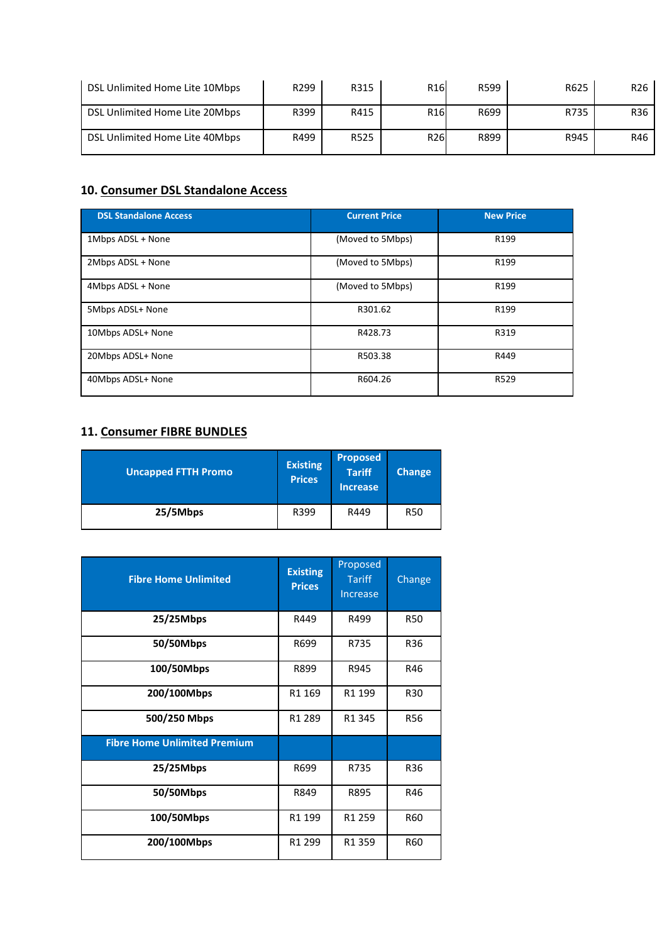| DSL Unlimited Home Lite 10Mbps | R <sub>299</sub> | R315 | R <sub>16</sub> | R599 | R625 | R <sub>26</sub> |
|--------------------------------|------------------|------|-----------------|------|------|-----------------|
| DSL Unlimited Home Lite 20Mbps | R399             | R415 | R <sub>16</sub> | R699 | R735 | R36             |
| DSL Unlimited Home Lite 40Mbps | R499             | R525 | R <sub>26</sub> | R899 | R945 | R46             |

# **10. Consumer DSL Standalone Access**

| <b>DSL Standalone Access</b> | <b>Current Price</b> | <b>New Price</b> |
|------------------------------|----------------------|------------------|
| 1Mbps ADSL + None            | (Moved to 5Mbps)     | R199             |
| 2Mbps ADSL + None            | (Moved to 5Mbps)     | R199             |
| 4Mbps ADSL + None            | (Moved to 5Mbps)     | R <sub>199</sub> |
| 5Mbps ADSL+ None             | R301.62              | R <sub>199</sub> |
| 10Mbps ADSL+ None            | R428.73              | R319             |
| 20Mbps ADSL+ None            | R503.38              | R449             |
| 40Mbps ADSL+ None            | R604.26              | R529             |

# **11. Consumer FIBRE BUNDLES**

| <b>Uncapped FTTH Promo</b> | <b>Existing</b><br><b>Prices</b> | <b>Proposed</b><br><b>Tariff</b><br><b>Increase</b> | <b>Change</b> |
|----------------------------|----------------------------------|-----------------------------------------------------|---------------|
| 25/5Mbps                   | R399                             | R449                                                | <b>R50</b>    |

| <b>Fibre Home Unlimited</b>         | <b>Existing</b><br><b>Prices</b> | Proposed<br><b>Tariff</b><br>Increase | Change     |
|-------------------------------------|----------------------------------|---------------------------------------|------------|
| 25/25Mbps                           | R449                             | R499                                  | <b>R50</b> |
| 50/50Mbps                           | R699                             | R735                                  | R36        |
| 100/50Mbps                          | R899                             | R945                                  | R46        |
| 200/100Mbps                         | R1 169                           | R1 199                                | R30        |
| 500/250 Mbps                        | R1 289                           | R1 345                                | <b>R56</b> |
| <b>Fibre Home Unlimited Premium</b> |                                  |                                       |            |
| 25/25Mbps                           | R699                             | R735                                  | R36        |
| 50/50Mbps                           | R849                             | R895                                  | R46        |
| 100/50Mbps                          | R1 199                           | R1 259                                | R60        |
| 200/100Mbps                         | R1 299                           | R1 359                                | R60        |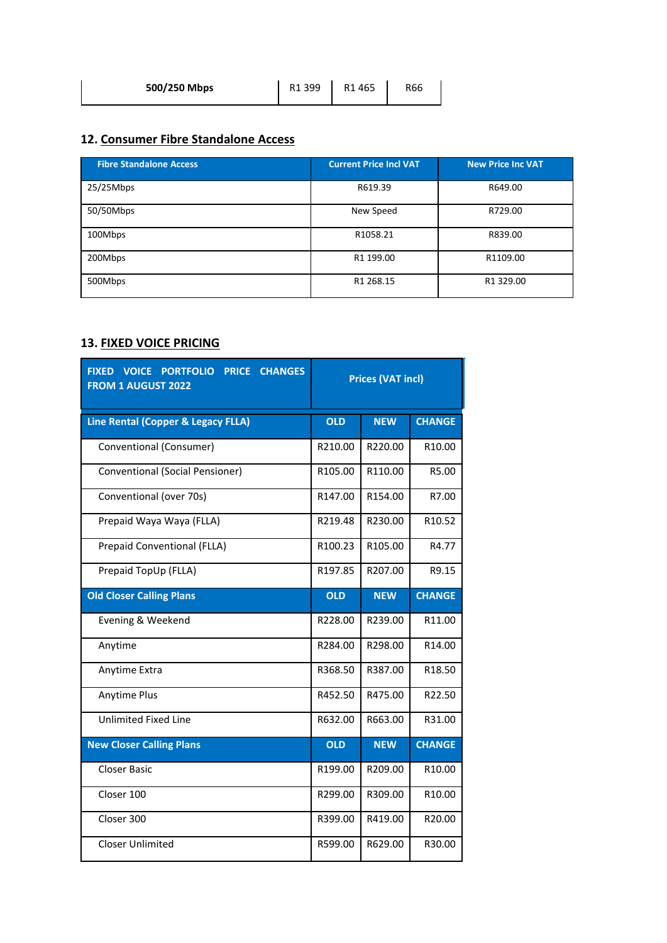| 500/250 Mbps | R1 399 | R1465 | R66 |
|--------------|--------|-------|-----|
|              |        |       |     |

# **12. Consumer Fibre Standalone Access**

| <b>Fibre Standalone Access</b> | <b>Current Price Incl VAT</b> | <b>New Price Inc VAT</b> |
|--------------------------------|-------------------------------|--------------------------|
| $25/25$ Mbps                   | R619.39                       | R649.00                  |
| 50/50Mbps                      | New Speed                     | R729.00                  |
| 100Mbps                        | R1058.21                      | R839.00                  |
| 200Mbps                        | R1 199.00                     | R1109.00                 |
| 500Mbps                        | R1 268.15                     | R1 329.00                |

# **13. FIXED VOICE PRICING**

| <b>CHANGES</b><br><b>FIXED VOICE</b><br><b>PORTFOLIO</b><br><b>PRICE</b><br><b>FROM 1 AUGUST 2022</b> | <b>Prices (VAT incl)</b> |            |                    |  |
|-------------------------------------------------------------------------------------------------------|--------------------------|------------|--------------------|--|
| <b>Line Rental (Copper &amp; Legacy FLLA)</b>                                                         | <b>OLD</b>               | <b>NEW</b> | <b>CHANGE</b>      |  |
| Conventional (Consumer)                                                                               | R210.00                  | R220.00    | R <sub>10.00</sub> |  |
| Conventional (Social Pensioner)                                                                       | R105.00                  | R110.00    | R5.00              |  |
| Conventional (over 70s)                                                                               | R147.00                  | R154.00    | R7.00              |  |
| Prepaid Waya Waya (FLLA)                                                                              | R219.48                  | R230.00    | R10.52             |  |
| <b>Prepaid Conventional (FLLA)</b>                                                                    | R100.23                  | R105.00    | R4.77              |  |
| Prepaid TopUp (FLLA)                                                                                  | R197.85                  | R207.00    | R9.15              |  |
| <b>Old Closer Calling Plans</b>                                                                       | <b>OLD</b>               | <b>NEW</b> | <b>CHANGE</b>      |  |
| Evening & Weekend                                                                                     | R228.00                  | R239.00    | R11.00             |  |
| Anytime                                                                                               | R284.00                  | R298.00    | R14.00             |  |
| Anytime Extra                                                                                         | R368.50                  | R387.00    | R18.50             |  |
| Anytime Plus                                                                                          | R452.50                  | R475.00    | R22.50             |  |
| <b>Unlimited Fixed Line</b>                                                                           | R632.00                  | R663.00    | R31.00             |  |
| <b>New Closer Calling Plans</b>                                                                       | <b>OLD</b>               | <b>NEW</b> | <b>CHANGE</b>      |  |
| Closer Basic                                                                                          | R199.00                  | R209.00    | R <sub>10.00</sub> |  |
| Closer 100                                                                                            | R299.00                  | R309.00    | R10.00             |  |
| Closer 300                                                                                            | R399.00                  | R419.00    | R20.00             |  |
| <b>Closer Unlimited</b>                                                                               | R599.00                  | R629.00    | R30.00             |  |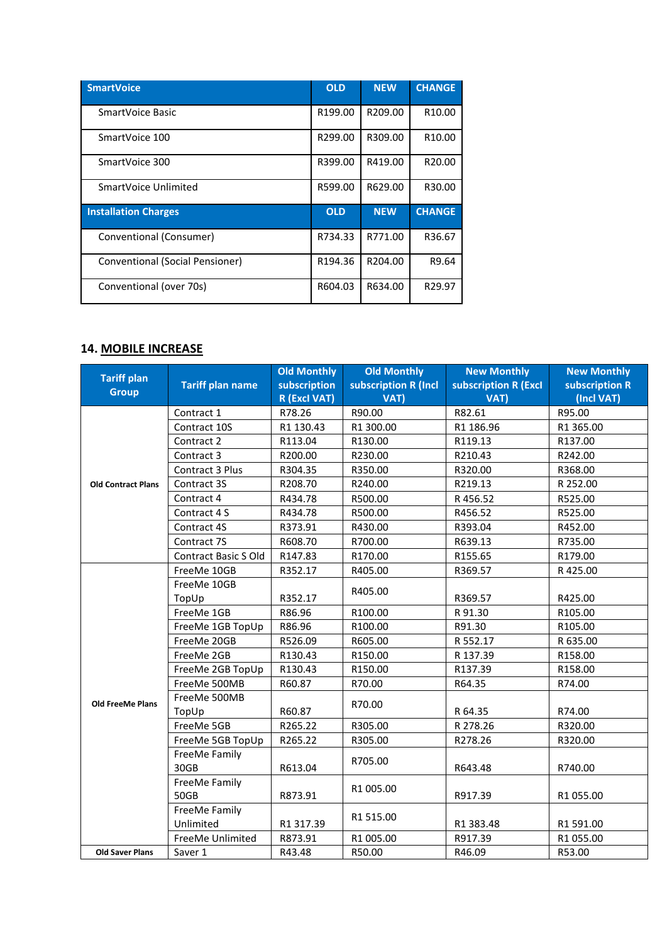| <b>SmartVoice</b>               | <b>OLD</b> | <b>NEW</b>          | <b>CHANGE</b>      |
|---------------------------------|------------|---------------------|--------------------|
| SmartVoice Basic                | R199.00    | R209.00             | R <sub>10.00</sub> |
| SmartVoice 100                  | R299.00    | R309.00             | R <sub>10.00</sub> |
| SmartVoice 300                  | R399.00    | R419.00             | R <sub>20.00</sub> |
| SmartVoice Unlimited            | R599.00    | R629.00             | R30.00             |
| <b>Installation Charges</b>     | <b>OLD</b> | <b>NEW</b>          | <b>CHANGE</b>      |
| Conventional (Consumer)         | R734.33    | R771.00             | R36.67             |
| Conventional (Social Pensioner) | R194.36    | R <sub>204.00</sub> | R9.64              |
| Conventional (over 70s)         | R604.03    | R634.00             | R29.97             |

#### **14. MOBILE INCREASE**

|                                    |                         | <b>Old Monthly</b> | <b>Old Monthly</b>   | <b>New Monthly</b>   | <b>New Monthly</b> |
|------------------------------------|-------------------------|--------------------|----------------------|----------------------|--------------------|
| <b>Tariff plan</b><br><b>Group</b> | <b>Tariff plan name</b> | subscription       | subscription R (Incl | subscription R (Excl | subscription R     |
|                                    |                         | R (Excl VAT)       | VAT)                 | VAT)                 | (Incl VAT)         |
|                                    | Contract 1              | R78.26             | R90.00               | R82.61               | R95.00             |
|                                    | Contract 10S            | R1 130.43          | R1 300.00            | R1 186.96            | R1 365.00          |
|                                    | Contract 2              | R113.04            | R130.00              | R119.13              | R137.00            |
|                                    | Contract 3              | R200.00            | R230.00              | R210.43              | R242.00            |
|                                    | Contract 3 Plus         | R304.35            | R350.00              | R320.00              | R368.00            |
| <b>Old Contract Plans</b>          | Contract 3S             | R208.70            | R240.00              | R219.13              | R 252.00           |
|                                    | Contract 4              | R434.78            | R500.00              | R456.52              | R525.00            |
|                                    | Contract 4 S            | R434.78            | R500.00              | R456.52              | R525.00            |
|                                    | Contract 4S             | R373.91            | R430.00              | R393.04              | R452.00            |
|                                    | Contract 7S             | R608.70            | R700.00              | R639.13              | R735.00            |
|                                    | Contract Basic S Old    | R147.83            | R170.00              | R155.65              | R179.00            |
|                                    | FreeMe 10GB             | R352.17            | R405.00              | R369.57              | R425.00            |
|                                    | FreeMe 10GB             |                    | R405.00              |                      |                    |
|                                    | TopUp                   | R352.17            |                      | R369.57              | R425.00            |
|                                    | FreeMe 1GB              | R86.96             | R100.00              | R 91.30              | R105.00            |
|                                    | FreeMe 1GB TopUp        | R86.96             | R100.00              | R91.30               | R105.00            |
|                                    | FreeMe 20GB             | R526.09            | R605.00              | R 552.17             | R 635.00           |
|                                    | FreeMe 2GB              | R130.43            | R150.00              | R 137.39             | R158.00            |
|                                    | FreeMe 2GB TopUp        | R130.43            | R150.00              | R137.39              | R158.00            |
|                                    | FreeMe 500MB            | R60.87             | R70.00               | R64.35               | R74.00             |
| <b>Old FreeMe Plans</b>            | FreeMe 500MB            |                    |                      |                      |                    |
|                                    | TopUp                   | R60.87             | R70.00               | R 64.35              | R74.00             |
|                                    | FreeMe 5GB              | R265.22            | R305.00              | R 278.26             | R320.00            |
|                                    | FreeMe 5GB TopUp        | R265.22            | R305.00              | R278.26              | R320.00            |
|                                    | FreeMe Family           |                    | R705.00              |                      |                    |
|                                    | 30GB                    | R613.04            |                      | R643.48              | R740.00            |
|                                    | FreeMe Family           |                    | R1 005.00            |                      |                    |
|                                    | 50GB                    | R873.91            |                      | R917.39              | R1 055.00          |
|                                    | FreeMe Family           |                    | R1 515.00            |                      |                    |
|                                    | Unlimited               | R1 317.39          |                      | R1 383.48            | R1 591.00          |
|                                    | FreeMe Unlimited        | R873.91            | R1 005.00            | R917.39              | R1 055.00          |
| <b>Old Saver Plans</b>             | Saver 1                 | R43.48             | R50.00               | R46.09               | R53.00             |